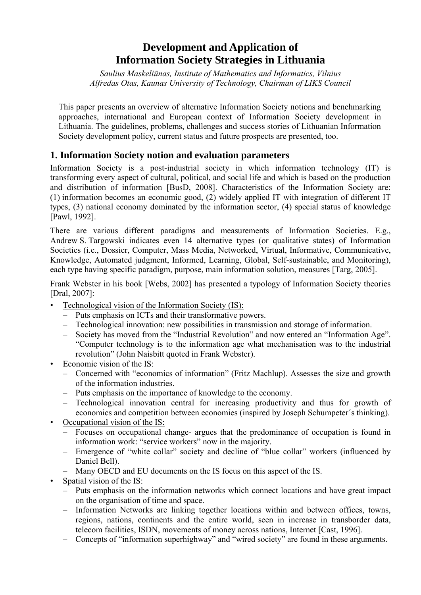# **Development and Application of Information Society Strategies in Lithuania**

*Saulius Maskeliūnas, Institute of Mathematics and Informatics, Vilnius Alfredas Otas, Kaunas University of Technology, Chairman of LIKS Council* 

This paper presents an overview of alternative Information Society notions and benchmarking approaches, international and European context of Information Society development in Lithuania. The guidelines, problems, challenges and success stories of Lithuanian Information Society development policy, current status and future prospects are presented, too.

# **1. Information Society notion and evaluation parameters**

Information Society is a post-industrial society in which information technology (IT) is transforming every aspect of cultural, political, and social life and which is based on the production and distribution of information [BusD, 2008]. Characteristics of the Information Society are: (1) information becomes an economic good, (2) widely applied IT with integration of different IT types, (3) national economy dominated by the information sector, (4) special status of knowledge [Pawl, 1992].

There are various different paradigms and measurements of Information Societies. E.g., Andrew S. Targowski indicates even 14 alternative types (or qualitative states) of Information Societies (i.e., Dossier, Computer, Mass Media, Networked, Virtual, Informative, Communicative, Knowledge, Automated judgment, Informed, Learning, Global, Self-sustainable, and Monitoring), each type having specific paradigm, purpose, main information solution, measures [Targ, 2005].

Frank Webster in his book [Webs, 2002] has presented a typology of Information Society theories [Dral, 2007]:

- Technological vision of the Information Society (IS):
	- Puts emphasis on ICTs and their transformative powers.
	- Technological innovation: new possibilities in transmission and storage of information.
	- Society has moved from the "Industrial Revolution" and now entered an "Information Age". "Computer technology is to the information age what mechanisation was to the industrial revolution" (John Naisbitt quoted in Frank Webster).
- Economic vision of the IS:
	- Concerned with "economics of information" (Fritz Machlup). Assesses the size and growth of the information industries.
	- Puts emphasis on the importance of knowledge to the economy.
	- Technological innovation central for increasing productivity and thus for growth of economics and competition between economies (inspired by Joseph Schumpeter´s thinking).
- Occupational vision of the IS:
	- Focuses on occupational change- argues that the predominance of occupation is found in information work: "service workers" now in the majority.
	- Emergence of "white collar" society and decline of "blue collar" workers (influenced by Daniel Bell).
	- Many OECD and EU documents on the IS focus on this aspect of the IS.
- Spatial vision of the IS:
	- Puts emphasis on the information networks which connect locations and have great impact on the organisation of time and space.
	- Information Networks are linking together locations within and between offices, towns, regions, nations, continents and the entire world, seen in increase in transborder data, telecom facilities, ISDN, movements of money across nations, Internet [Cast, 1996].
	- Concepts of "information superhighway" and "wired society" are found in these arguments.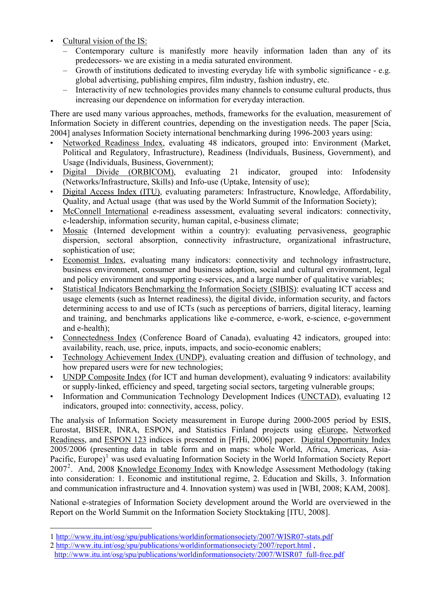- Cultural vision of the IS:
	- Contemporary culture is manifestly more heavily information laden than any of its predecessors- we are existing in a media saturated environment.
	- Growth of institutions dedicated to investing everyday life with symbolic significance e.g. global advertising, publishing empires, film industry, fashion industry, etc.
	- Interactivity of new technologies provides many channels to consume cultural products, thus increasing our dependence on information for everyday interaction.

There are used many various approaches, methods, frameworks for the evaluation, measurement of Information Society in different countries, depending on the investigation needs. The paper [Scia, 2004] analyses Information Society international benchmarking during 1996-2003 years using:

- Networked Readiness Index, evaluating 48 indicators, grouped into: Environment (Market, Political and Regulatory, Infrastructure), Readiness (Individuals, Business, Government), and Usage (Individuals, Business, Government);
- Digital Divide (ORBICOM), evaluating 21 indicator, grouped into: Infodensity (Networks/Infrastructure, Skills) and Info-use (Uptake, Intensity of use);
- Digital Access Index (ITU), evaluating parameters: Infrastructure, Knowledge, Affordability, Quality, and Actual usage (that was used by the World Summit of the Information Society);
- McConnell International e-readiness assessment, evaluating several indicators: connectivity, e-leadership, information security, human capital, e-business climate;
- Mosaic (Interned development within a country): evaluating pervasiveness, geographic dispersion, sectoral absorption, connectivity infrastructure, organizational infrastructure, sophistication of use;
- Economist Index, evaluating many indicators: connectivity and technology infrastructure, business environment, consumer and business adoption, social and cultural environment, legal and policy environment and supporting e-services, and a large number of qualitative variables;
- Statistical Indicators Benchmarking the Information Society (SIBIS): evaluating ICT access and usage elements (such as Internet readiness), the digital divide, information security, and factors determining access to and use of ICTs (such as perceptions of barriers, digital literacy, learning and training, and benchmarks applications like e-commerce, e-work, e-science, e-government and e-health);
- Connectedness Index (Conference Board of Canada), evaluating 42 indicators, grouped into: availability, reach, use, price, inputs, impacts, and socio-economic enablers;
- Technology Achievement Index (UNDP), evaluating creation and diffusion of technology, and how prepared users were for new technologies;
- UNDP Composite Index (for ICT and human development), evaluating 9 indicators: availability or supply-linked, efficiency and speed, targeting social sectors, targeting vulnerable groups;
- Information and Communication Technology Development Indices (UNCTAD), evaluating 12 indicators, grouped into: connectivity, access, policy.

The analysis of Information Society measurement in Europe during 2000-2005 period by ESIS, Eurostat, BISER, INRA, ESPON, and Statistics Finland projects using eEurope, Networked Readiness, and ESPON 123 indices is presented in [FrHi, 2006] paper. Digital Opportunity Index 2005/2006 (presenting data in table form and on maps: whole World, Africa, Americas, Asia-Pacific, Europe)<sup>[1](#page-1-0)</sup> was used evaluating Information Society in the World Information Society Report [2](#page-1-1)007<sup>2</sup>. And, 2008 Knowledge Economy Index with Knowledge Assessment Methodology (taking into consideration: 1. Economic and institutional regime, 2. Education and Skills, 3. Information and communication infrastructure and 4. Innovation system) was used in [WBI, 2008; KAM, 2008].

National e-strategies of Information Society development around the World are overviewed in the Report on the World Summit on the Information Society Stocktaking [ITU, 2008].

<u>.</u>

<span id="page-1-0"></span><sup>1</sup><http://www.itu.int/osg/spu/publications/worldinformationsociety/2007/WISR07-stats.pdf>

<span id="page-1-1"></span><sup>2</sup><http://www.itu.int/osg/spu/publications/worldinformationsociety/2007/report.html>,

http://www.itu.int/osg/spu/publications/worldinformationsociety/2007/WISR07\_full-free.pdf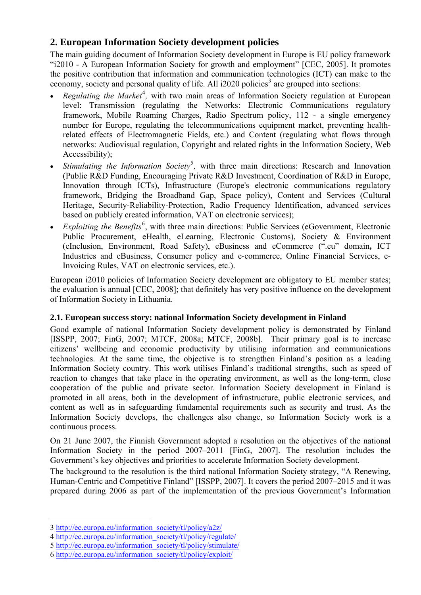# **2. European Information Society development policies**

The main guiding document of Information Society development in Europe is EU policy framework "i2010 - A European Information Society for growth and employment" [CEC, 2005]. It promotes the positive contribution that information and communication technologies (ICT) can make to the economy, society and personal quality of life. All i2020 policies<sup>[3](#page-2-0)</sup> are grouped into sections:

- *Regulating the Market<sup>[4](#page-2-1)</sup>*, with two main areas of Information Society regulation at European level: Transmission (regulating the Networks: Electronic Communications regulatory framework, Mobile Roaming Charges, Radio Spectrum policy, 112 - a single emergency number for Europe, regulating the telecommunications equipment market, preventing healthrelated effects of Electromagnetic Fields, etc.) and Content (regulating what flows through networks: Audiovisual regulation, Copyright and related rights in the Information Society, Web Accessibility);
- *Stimulating the Information Society*<sup>[5](#page-2-2)</sup>, with three main directions: Research and Innovation (Public R&D Funding, Encouraging Private R&D Investment, Coordination of R&D in Europe, Innovation through ICTs), Infrastructure (Europe's electronic communications regulatory framework, Bridging the Broadband Gap, Space policy), Content and Services (Cultural Heritage, Security-Reliability-Protection, Radio Frequency Identification, advanced services based on publicly created information, VAT on electronic services);
- *Exploiting the Benefits*<sup>[6](#page-2-3)</sup>, with three main directions: Public Services (eGovernment, Electronic Public Procurement, eHealth, eLearning, Electronic Customs), Society & Environment (eInclusion, Environment, Road Safety), eBusiness and eCommerce (".eu" domain**,** ICT Industries and eBusiness, Consumer policy and e-commerce, Online Financial Services, e-Invoicing Rules, VAT on electronic services, etc.).

European i2010 policies of Information Society development are obligatory to EU member states; the evaluation is annual [CEC, 2008]; that definitely has very positive influence on the development of Information Society in Lithuania.

#### **2.1. European success story: national Information Society development in Finland**

Good example of national Information Society development policy is demonstrated by Finland [ISSPP, 2007; FinG, 2007; MTCF, 2008a; MTCF, 2008b]. Their primary goal is to increase citizens' wellbeing and economic productivity by utilising information and communications technologies. At the same time, the objective is to strengthen Finland's position as a leading Information Society country. This work utilises Finland's traditional strengths, such as speed of reaction to changes that take place in the operating environment, as well as the long-term, close cooperation of the public and private sector. Information Society development in Finland is promoted in all areas, both in the development of infrastructure, public electronic services, and content as well as in safeguarding fundamental requirements such as security and trust. As the Information Society develops, the challenges also change, so Information Society work is a continuous process.

On 21 June 2007, the Finnish Government adopted a resolution on the objectives of the national Information Society in the period 2007–2011 [FinG, 2007]. The resolution includes the Government's key objectives and priorities to accelerate Information Society development.

The background to the resolution is the third national Information Society strategy, "A Renewing, Human-Centric and Competitive Finland" [ISSPP, 2007]. It covers the period 2007–2015 and it was prepared during 2006 as part of the implementation of the previous Government's Information

<span id="page-2-0"></span><sup>3</sup> [http://ec.europa.eu/information\\_society/tl/policy/a2z/](http://ec.europa.eu/information_society/tl/policy/a2z/) 

<span id="page-2-1"></span><sup>4</sup> [http://ec.europa.eu/information\\_society/tl/policy/regulate/](http://ec.europa.eu/information_society/tl/policy/regulate/index_en.htm) 

<span id="page-2-2"></span><sup>5</sup> [http://ec.europa.eu/information\\_society/tl/policy/stimulate/](http://ec.europa.eu/information_society/tl/policy/stimulate/index_en.htm) 

<span id="page-2-3"></span><sup>6</sup> [http://ec.europa.eu/information\\_society/tl/policy/exploit/](http://ec.europa.eu/information_society/tl/policy/exploit/)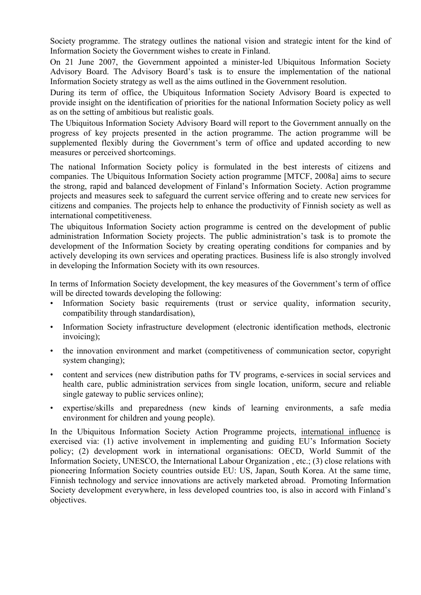Society programme. The strategy outlines the national vision and strategic intent for the kind of Information Society the Government wishes to create in Finland.

On 21 June 2007, the Government appointed a minister-led Ubiquitous Information Society Advisory Board. The Advisory Board's task is to ensure the implementation of the national Information Society strategy as well as the aims outlined in the Government resolution.

During its term of office, the Ubiquitous Information Society Advisory Board is expected to provide insight on the identification of priorities for the national Information Society policy as well as on the setting of ambitious but realistic goals.

The Ubiquitous Information Society Advisory Board will report to the Government annually on the progress of key projects presented in the action programme. The action programme will be supplemented flexibly during the Government's term of office and updated according to new measures or perceived shortcomings.

The national Information Society policy is formulated in the best interests of citizens and companies. The Ubiquitous Information Society action programme [MTCF, 2008a] aims to secure the strong, rapid and balanced development of Finland's Information Society. Action programme projects and measures seek to safeguard the current service offering and to create new services for citizens and companies. The projects help to enhance the productivity of Finnish society as well as international competitiveness.

The ubiquitous Information Society action programme is centred on the development of public administration Information Society projects. The public administration's task is to promote the development of the Information Society by creating operating conditions for companies and by actively developing its own services and operating practices. Business life is also strongly involved in developing the Information Society with its own resources.

In terms of Information Society development, the key measures of the Government's term of office will be directed towards developing the following:

- Information Society basic requirements (trust or service quality, information security, compatibility through standardisation),
- Information Society infrastructure development (electronic identification methods, electronic invoicing);
- the innovation environment and market (competitiveness of communication sector, copyright system changing);
- content and services (new distribution paths for TV programs, e-services in social services and health care, public administration services from single location, uniform, secure and reliable single gateway to public services online);
- expertise/skills and preparedness (new kinds of learning environments, a safe media environment for children and young people).

In the Ubiquitous Information Society Action Programme projects, international influence is exercised via: (1) active involvement in implementing and guiding EU's Information Society policy; (2) development work in international organisations: OECD, World Summit of the Information Society, UNESCO, the International Labour Organization , etc.; (3) close relations with pioneering Information Society countries outside EU: US, Japan, South Korea. At the same time, Finnish technology and service innovations are actively marketed abroad. Promoting Information Society development everywhere, in less developed countries too, is also in accord with Finland's objectives.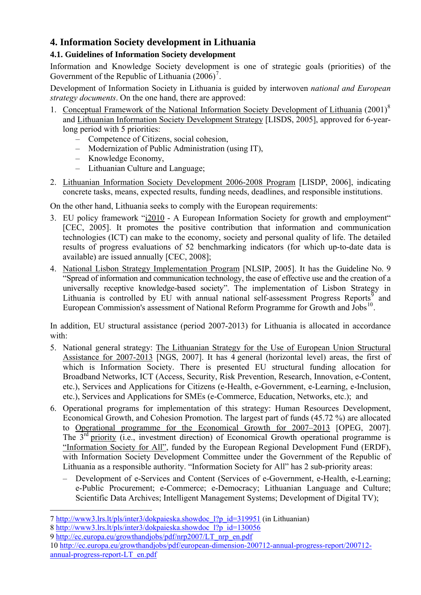# **4. Information Society development in Lithuania**

# **4.1. Guidelines of Information Society development**

Information and Knowledge Society development is one of strategic goals (priorities) of the Government of the Republic of Lithuania  $(2006)^7$  $(2006)^7$ .

Development of Information Society in Lithuania is guided by interwoven *national and European strategy documents*. On the one hand, there are approved:

- 1. Conceptual Framework of the National Information Society Development of Lithuania (2001)<sup>[8](#page-4-1)</sup> and Lithuanian Information Society Development Strategy [LISDS, 2005], approved for 6-yearlong period with 5 priorities:
	- Competence of Citizens, social cohesion,
	- Modernization of Public Administration (using IT),
	- Knowledge Economy,
	- Lithuanian Culture and Language;
- 2. Lithuanian Information Society Development 2006-2008 Program [LISDP, 2006], indicating concrete tasks, means, expected results, funding needs, deadlines, and responsible institutions.

On the other hand, Lithuania seeks to comply with the European requirements:

- 3. EU policy framework "i2010 A European Information Society for growth and employment" [CEC, 2005]. It promotes the positive contribution that information and communication technologies (ICT) can make to the economy, society and personal quality of life. The detailed results of progress evaluations of 52 benchmarking indicators (for which up-to-date data is available) are issued annually [CEC, 2008];
- 4. National Lisbon Strategy Implementation Program [NLSIP, 2005]. It has the Guideline No. 9 "Spread of information and communication technology, the ease of effective use and the creation of a universally receptive knowledge-based society". The implementation of Lisbon Strategy in Lithuania is controlled by EU with annual national self-assessment Progress Reports<sup>[9](#page-4-2)</sup> and European Commission's assessment of National Reform Programme for Growth and Jobs<sup>[10](#page-4-3)</sup>.

In addition, EU structural assistance (period 2007-2013) for Lithuania is allocated in accordance with:

- 5. National general strategy: The Lithuanian Strategy for the Use of European Union Structural Assistance for 2007-2013 [NGS, 2007]. It has 4 general (horizontal level) areas, the first of which is Information Society. There is presented EU structural funding allocation for Broadband Networks, ICT (Access, Security, Risk Prevention, Research, Innovation, e-Content, etc.), Services and Applications for Citizens (e-Health, e-Government, e-Learning, e-Inclusion, etc.), Services and Applications for SMEs (e-Commerce, Education, Networks, etc.); and
- 6. Operational programs for implementation of this strategy: Human Resources Development, Economical Growth, and Cohesion Promotion. The largest part of funds (45.72 %) are allocated to Operational programme for the Economical Growth for 2007–2013 [OPEG, 2007]. The  $3<sup>rd</sup>$  priority (i.e., investment direction) of Economical Growth operational programme is "Information Society for All", funded by the European Regional Development Fund (ERDF), with Information Society Development Committee under the Government of the Republic of Lithuania as a responsible authority. "Information Society for All" has 2 sub-priority areas:
	- Development of e-Services and Content (Services of e-Government, e-Health, e-Learning; e-Public Procurement; e-Commerce; e-Democracy; Lithuanian Language and Culture; Scientific Data Archives; Intelligent Management Systems; Development of Digital TV);

<span id="page-4-0"></span><sup>7</sup> [http://www3.lrs.lt/pls/inter3/dokpaieska.showdoc\\_l?p\\_id=319951](http://www3.lrs.lt/pls/inter3/dokpaieska.showdoc_l?p_id=319951) (in Lithuanian)

<span id="page-4-1"></span><sup>8</sup> [http://www3.lrs.lt/pls/inter3/dokpaieska.showdoc\\_l?p\\_id=130056](http://www3.lrs.lt/pls/inter3/dokpaieska.showdoc_l?p_id=130056) 

<span id="page-4-2"></span><sup>9</sup> [http://ec.europa.eu/growthandjobs/pdf/nrp2007/LT\\_nrp\\_en.pdf](http://ec.europa.eu/growthandjobs/pdf/nrp2007/LT_nrp_en.pdf)

<span id="page-4-3"></span><sup>10</sup> [http://ec.europa.eu/growthandjobs/pdf/european-dimension-200712-annual-progress-report/200712](http://ec.europa.eu/growthandjobs/pdf/european-dimension-200712-annual-progress-report/200712-annual-progress-report-LT_en.pdf) [annual-progress-report-LT\\_en.pdf](http://ec.europa.eu/growthandjobs/pdf/european-dimension-200712-annual-progress-report/200712-annual-progress-report-LT_en.pdf)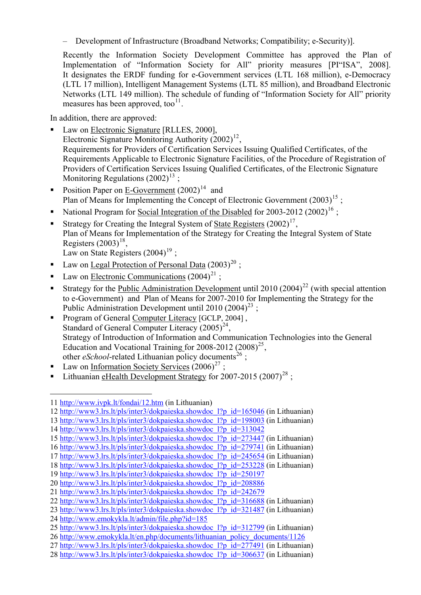– Development of Infrastructure (Broadband Networks; Compatibility; e-Security)].

Recently the Information Society Development Committee has approved the Plan of Implementation of "Information Society for All" priority measures [PI"ISA", 2008]. It designates the ERDF funding for e-Government services (LTL 168 million), e-Democracy (LTL 17 million), Intelligent Management Systems (LTL 85 million), and Broadband Electronic Networks (LTL 149 million). The schedule of funding of "Information Society for All" priority measures has been approved, too $^{11}$  $^{11}$  $^{11}$ .

In addition, there are approved:

- Law on Electronic Signature [RLLES, 2000], Electronic Signature Monitoring Authority  $(2002)^{12}$  $(2002)^{12}$  $(2002)^{12}$ , Requirements for Providers of Certification Services Issuing Qualified Certificates, of the Requirements Applicable to Electronic Signature Facilities, of the Procedure of Registration of Providers of Certification Services Issuing Qualified Certificates, of the Electronic Signature Monitoring Regulations  $(2002)^{13}$  $(2002)^{13}$  $(2002)^{13}$ ;
- Position Paper on E-Government  $(2002)^{14}$  $(2002)^{14}$  $(2002)^{14}$  and Plan of Means for Implementing the Concept of Electronic Government  $(2003)^{15}$  $(2003)^{15}$  $(2003)^{15}$ ;
- National Program for Social Integration of the Disabled for 2003-2012 (2002)<sup>[16](#page-5-5)</sup> :
- Strategy for Creating the Integral System of State Registers  $(2002)^{17}$  $(2002)^{17}$  $(2002)^{17}$ , Plan of Means for Implementation of the Strategy for Creating the Integral System of State Registers  $(2003)^{18}$  $(2003)^{18}$  $(2003)^{18}$ ,

Law on State Registers  $(2004)^{19}$  $(2004)^{19}$  $(2004)^{19}$ :

- Law on Legal Protection of Personal Data  $(2003)^{20}$  $(2003)^{20}$  $(2003)^{20}$ ;
- Law on Electronic Communications  $(2004)^{21}$  $(2004)^{21}$  $(2004)^{21}$ ;
- Strategy for the Public Administration Development until 2010 (2004)<sup>[22](#page-5-11)</sup> (with special attention to e-Government) and Plan of Means for 2007-2010 for Implementing the Strategy for the Public Administration Development until 2010 (2004)<sup>[23](#page-5-12)</sup>:
- Program of General Computer Literacy [GCLP, 2004] , Standard of General Computer Literacy  $(2005)^{24}$  $(2005)^{24}$  $(2005)^{24}$ , Strategy of Introduction of Information and Communication Technologies into the General Education and Vocational Training for  $2008-2012$   $(2008)^{25}$  $(2008)^{25}$  $(2008)^{25}$ , other  $e$ *School*-related Lithuanian policy documents<sup>[26](#page-5-15)</sup>;
- Law on Information Society Services  $(2006)^{27}$  $(2006)^{27}$  $(2006)^{27}$ ;
- Lithuanian eHealth Development Strategy for 2007-2015  $(2007)^{28}$  $(2007)^{28}$  $(2007)^{28}$ ;

<u>.</u>

<span id="page-5-0"></span><sup>11</sup> <http://www.ivpk.lt/fondai/12.htm> (in Lithuanian)

<span id="page-5-1"></span><sup>12</sup> [http://www3.lrs.lt/pls/inter3/dokpaieska.showdoc\\_l?p\\_id=165046](http://www3.lrs.lt/pls/inter3/dokpaieska.showdoc_l?p_id=165046) (in Lithuanian)

<span id="page-5-2"></span><sup>13</sup> [http://www3.lrs.lt/pls/inter3/dokpaieska.showdoc\\_l?p\\_id=198003](http://www3.lrs.lt/pls/inter3/dokpaieska.showdoc_l?p_id=198003) (in Lithuanian)

<span id="page-5-3"></span><sup>14</sup> [http://www3.lrs.lt/pls/inter3/dokpaieska.showdoc\\_l?p\\_id=313042](http://www3.lrs.lt/pls/inter3/dokpaieska.showdoc_l?p_id=313042)

<span id="page-5-4"></span><sup>15</sup> [http://www3.lrs.lt/pls/inter3/dokpaieska.showdoc\\_l?p\\_id=273447](http://www3.lrs.lt/pls/inter3/dokpaieska.showdoc_l?p_id=273447) (in Lithuanian)

<span id="page-5-5"></span><sup>16</sup> [http://www3.lrs.lt/pls/inter3/dokpaieska.showdoc\\_l?p\\_id=279741](http://www3.lrs.lt/pls/inter3/dokpaieska.showdoc_l?p_id=279741) (in Lithuanian)

<span id="page-5-6"></span><sup>17</sup> [http://www3.lrs.lt/pls/inter3/dokpaieska.showdoc\\_l?p\\_id=245654](http://www3.lrs.lt/pls/inter3/dokpaieska.showdoc_l?p_id=245654) (in Lithuanian)

<span id="page-5-7"></span><sup>18</sup> [http://www3.lrs.lt/pls/inter3/dokpaieska.showdoc\\_l?p\\_id=253228](http://www3.lrs.lt/pls/inter3/dokpaieska.showdoc_l?p_id=253228) (in Lithuanian)

<span id="page-5-8"></span><sup>19</sup> [http://www3.lrs.lt/pls/inter3/dokpaieska.showdoc\\_l?p\\_id=250197](http://www3.lrs.lt/pls/inter3/dokpaieska.showdoc_l?p_id=250197)

<span id="page-5-9"></span><sup>20</sup> [http://www3.lrs.lt/pls/inter3/dokpaieska.showdoc\\_l?p\\_id=208886](http://www3.lrs.lt/pls/inter3/dokpaieska.showdoc_l?p_id=208886)

<span id="page-5-10"></span><sup>21</sup> [http://www3.lrs.lt/pls/inter3/dokpaieska.showdoc\\_l?p\\_id=242679](http://www3.lrs.lt/pls/inter3/dokpaieska.showdoc_l?p_id=242679)

<span id="page-5-11"></span><sup>22</sup> [http://www3.lrs.lt/pls/inter3/dokpaieska.showdoc\\_l?p\\_id=316688](http://www3.lrs.lt/pls/inter3/dokpaieska.showdoc_l?p_id=316688) (in Lithuanian)

<span id="page-5-12"></span><sup>23</sup> [http://www3.lrs.lt/pls/inter3/dokpaieska.showdoc\\_l?p\\_id=321487](http://www3.lrs.lt/pls/inter3/dokpaieska.showdoc_l?p_id=321487) (in Lithuanian)

<span id="page-5-13"></span><sup>24</sup> <http://www.emokykla.lt/admin/file.php?id=185>

<span id="page-5-14"></span><sup>25</sup> [http://www3.lrs.lt/pls/inter3/dokpaieska.showdoc\\_l?p\\_id=312799](http://www3.lrs.lt/pls/inter3/dokpaieska.showdoc_l?p_id=312799) (in Lithuanian)

<span id="page-5-15"></span><sup>26</sup> [http://www.emokykla.lt/en.php/documents/lithuanian\\_policy\\_documents/1126](http://www.emokykla.lt/en.php/documents/lithuanian_policy_documents/1126)

<span id="page-5-16"></span><sup>27</sup> [http://www3.lrs.lt/pls/inter3/dokpaieska.showdoc\\_l?p\\_id=277491](http://www3.lrs.lt/pls/inter3/dokpaieska.showdoc_l?p_id=277491) (in Lithuanian)

<span id="page-5-17"></span><sup>28</sup> [http://www3.lrs.lt/pls/inter3/dokpaieska.showdoc\\_l?p\\_id=306637](http://www3.lrs.lt/pls/inter3/dokpaieska.showdoc_l?p_id=306637) (in Lithuanian)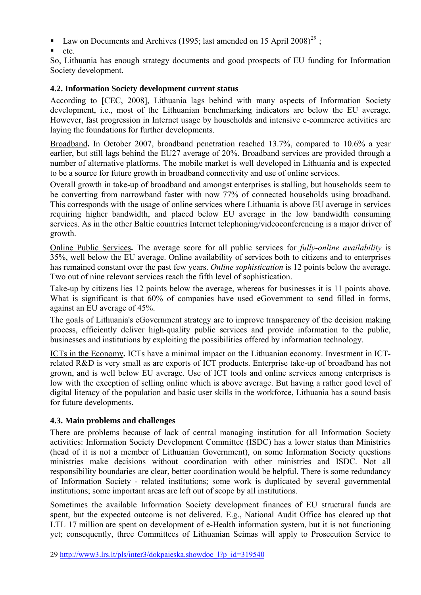- Law on Documents and Archives (1995; last amended on 15 April 2008)<sup>[29](#page-6-0)</sup>;
- etc.

So, Lithuania has enough strategy documents and good prospects of EU funding for Information Society development.

## **4.2. Information Society development current status**

According to [CEC, 2008], Lithuania lags behind with many aspects of Information Society development, i.e., most of the Lithuanian benchmarking indicators are below the EU average. However, fast progression in Internet usage by households and intensive e-commerce activities are laying the foundations for further developments.

Broadband**.** In October 2007, broadband penetration reached 13.7%, compared to 10.6% a year earlier, but still lags behind the EU27 average of 20%. Broadband services are provided through a number of alternative platforms. The mobile market is well developed in Lithuania and is expected to be a source for future growth in broadband connectivity and use of online services.

Overall growth in take-up of broadband and amongst enterprises is stalling, but households seem to be converting from narrowband faster with now 77% of connected households using broadband. This corresponds with the usage of online services where Lithuania is above EU average in services requiring higher bandwidth, and placed below EU average in the low bandwidth consuming services. As in the other Baltic countries Internet telephoning/videoconferencing is a major driver of growth.

Online Public Services**.** The average score for all public services for *fully-online availability* is 35%, well below the EU average. Online availability of services both to citizens and to enterprises has remained constant over the past few years. *Online sophistication* is 12 points below the average. Two out of nine relevant services reach the fifth level of sophistication.

Take-up by citizens lies 12 points below the average, whereas for businesses it is 11 points above. What is significant is that 60% of companies have used eGovernment to send filled in forms, against an EU average of 45%.

The goals of Lithuania's eGovernment strategy are to improve transparency of the decision making process, efficiently deliver high-quality public services and provide information to the public, businesses and institutions by exploiting the possibilities offered by information technology.

ICTs in the Economy**.** ICTs have a minimal impact on the Lithuanian economy. Investment in ICTrelated R&D is very small as are exports of ICT products. Enterprise take-up of broadband has not grown, and is well below EU average. Use of ICT tools and online services among enterprises is low with the exception of selling online which is above average. But having a rather good level of digital literacy of the population and basic user skills in the workforce, Lithuania has a sound basis for future developments.

#### **4.3. Main problems and challenges**

1

There are problems because of lack of central managing institution for all Information Society activities: Information Society Development Committee (ISDC) has a lower status than Ministries (head of it is not a member of Lithuanian Government), on some Information Society questions ministries make decisions without coordination with other ministries and ISDC. Not all responsibility boundaries are clear, better coordination would be helpful. There is some redundancy of Information Society - related institutions; some work is duplicated by several governmental institutions; some important areas are left out of scope by all institutions.

Sometimes the available Information Society development finances of EU structural funds are spent, but the expected outcome is not delivered. E.g., National Audit Office has cleared up that LTL 17 million are spent on development of e-Health information system, but it is not functioning yet; consequently, three Committees of Lithuanian Seimas will apply to Prosecution Service to

<span id="page-6-0"></span><sup>29</sup> [http://www3.lrs.lt/pls/inter3/dokpaieska.showdoc\\_l?p\\_id=319540](http://www3.lrs.lt/pls/inter3/dokpaieska.showdoc_l?p_id=319540)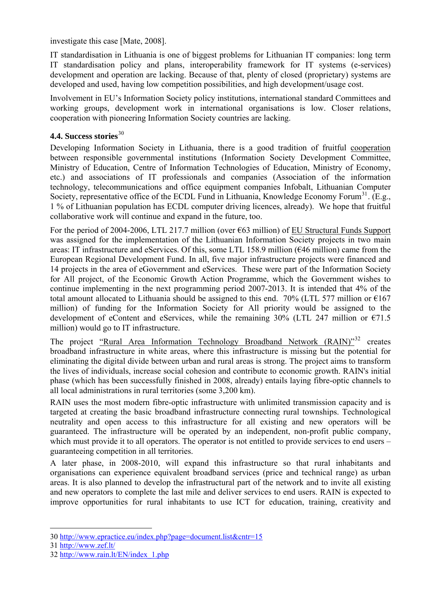investigate this case [Mate, 2008].

IT standardisation in Lithuania is one of biggest problems for Lithuanian IT companies: long term IT standardisation policy and plans, interoperability framework for IT systems (e-services) development and operation are lacking. Because of that, plenty of closed (proprietary) systems are developed and used, having low competition possibilities, and high development/usage cost.

Involvement in EU's Information Society policy institutions, international standard Committees and working groups, development work in international organisations is low. Closer relations, cooperation with pioneering Information Society countries are lacking.

### 4.4. Success stories<sup>[30](#page-7-0)</sup>

Developing Information Society in Lithuania, there is a good tradition of fruitful cooperation between responsible governmental institutions (Information Society Development Committee, Ministry of Education, Centre of Information Technologies of Education, Ministry of Economy, etc.) and associations of IT professionals and companies (Association of the information technology, telecommunications and office equipment companies Infobalt, Lithuanian Computer Society, representative office of the ECDL Fund in Lithuania, Knowledge Economy Forum<sup>[31](#page-7-1)</sup>. (E.g., 1 % of Lithuanian population has ECDL computer driving licences, already). We hope that fruitful collaborative work will continue and expand in the future, too.

For the period of 2004-2006, LTL 217.7 million (over  $\epsilon$ 63 million) of EU Structural Funds Support was assigned for the implementation of the Lithuanian Information Society projects in two main areas: IT infrastructure and eServices. Of this, some LTL 158.9 million (€46 million) came from the European Regional Development Fund. In all, five major infrastructure projects were financed and 14 projects in the area of eGovernment and eServices. These were part of the Information Society for All project, of the Economic Growth Action Programme, which the Government wishes to continue implementing in the next programming period 2007-2013. It is intended that 4% of the total amount allocated to Lithuania should be assigned to this end. 70% (LTL 577 million or  $E167$ million) of funding for the Information Society for All priority would be assigned to the development of eContent and eServices, while the remaining  $30\%$  (LTL 247 million or  $\epsilon$ 71.5 million) would go to IT infrastructure.

The project "Rural Area Information Technology Broadband Network (RAIN)"<sup>[32](#page-7-2)</sup> creates broadband infrastructure in white areas, where this infrastructure is missing but the potential for eliminating the digital divide between urban and rural areas is strong. The project aims to transform the lives of individuals, increase social cohesion and contribute to economic growth. RAIN's initial phase (which has been successfully finished in 2008, already) entails laying fibre-optic channels to all local administrations in rural territories (some 3,200 km).

RAIN uses the most modern fibre-optic infrastructure with unlimited transmission capacity and is targeted at creating the basic broadband infrastructure connecting rural townships. Technological neutrality and open access to this infrastructure for all existing and new operators will be guaranteed. The infrastructure will be operated by an independent, non-profit public company, which must provide it to all operators. The operator is not entitled to provide services to end users – guaranteeing competition in all territories.

A later phase, in 2008-2010, will expand this infrastructure so that rural inhabitants and organisations can experience equivalent broadband services (price and technical range) as urban areas. It is also planned to develop the infrastructural part of the network and to invite all existing and new operators to complete the last mile and deliver services to end users. RAIN is expected to improve opportunities for rural inhabitants to use ICT for education, training, creativity and

<u>.</u>

<span id="page-7-0"></span><sup>30</sup> <http://www.epractice.eu/index.php?page=document.list&cntr=15>

<span id="page-7-1"></span><sup>31</sup> <http://www.zef.lt/>

<span id="page-7-2"></span><sup>32</sup> [http://www.rain.lt/EN/index\\_1.php](http://www.rain.lt/EN/index_1.php)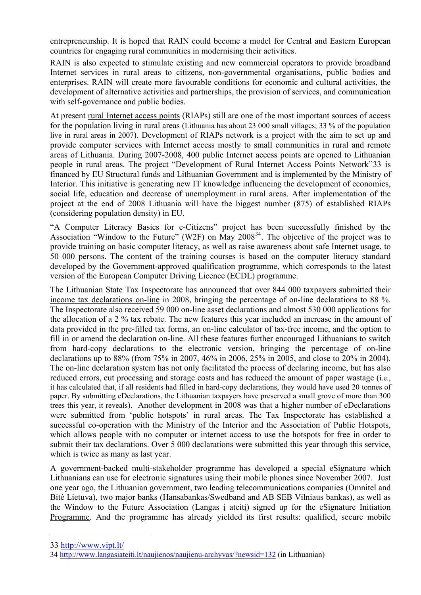entrepreneurship. It is hoped that RAIN could become a model for Central and Eastern European countries for engaging rural communities in modernising their activities.

RAIN is also expected to stimulate existing and new commercial operators to provide broadband Internet services in rural areas to citizens, non-governmental organisations, public bodies and enterprises. RAIN will create more favourable conditions for economic and cultural activities, the development of alternative activities and partnerships, the provision of services, and communication with self-governance and public bodies.

At present rural Internet access points (RIAPs) still are one of the most important sources of access for the population living in rural areas (Lithuania has about 23 000 small villages; 33 % of the population live in rural areas in 2007). Development of RIAPs network is a project with the aim to set up and provide computer services with Internet access mostly to small communities in rural and remote areas of Lithuania. During 2007-2008, 400 public Internet access points are opened to Lithuanian people in rural areas. The project "Development of Rural Internet Access Points Network"[33](#page-8-0) is financed by EU Structural funds and Lithuanian Government and is implemented by the Ministry of Interior. This initiative is generating new IT knowledge influencing the development of economics, social life, education and decrease of unemployment in rural areas. After implementation of the project at the end of 2008 Lithuania will have the biggest number (875) of established RIAPs (considering population density) in EU.

"A Computer Literacy Basics for e-Citizens" project has been successfully finished by the Association "Window to the Future" (W2F) on May  $2008^{34}$  $2008^{34}$  $2008^{34}$ . The objective of the project was to provide training on basic computer literacy, as well as raise awareness about safe Internet usage, to 50 000 persons. The content of the training courses is based on the computer literacy standard developed by the Government-approved qualification programme, which corresponds to the latest version of the European Computer Driving Licence (ECDL) programme.

The Lithuanian State Tax Inspectorate has announced that over 844 000 taxpayers submitted their income tax declarations on-line in 2008, bringing the percentage of on-line declarations to 88 %. The Inspectorate also received 59 000 on-line asset declarations and almost 530 000 applications for the allocation of a 2 % tax rebate. The new features this year included an increase in the amount of data provided in the pre-filled tax forms, an on-line calculator of tax-free income, and the option to fill in or amend the declaration on-line. All these features further encouraged Lithuanians to switch from hard-copy declarations to the electronic version, bringing the percentage of on-line declarations up to 88% (from 75% in 2007, 46% in 2006, 25% in 2005, and close to 20% in 2004). The on-line declaration system has not only facilitated the process of declaring income, but has also reduced errors, cut processing and storage costs and has reduced the amount of paper wastage (i.e., it has calculated that, if all residents had filled in hard-copy declarations, they would have used 20 tonnes of paper. By submitting eDeclarations, the Lithuanian taxpayers have preserved a small grove of more than 300 trees this year, it reveals). Another development in 2008 was that a higher number of eDeclarations were submitted from 'public hotspots' in rural areas. The Tax Inspectorate has established a successful co-operation with the Ministry of the Interior and the Association of Public Hotspots, which allows people with no computer or internet access to use the hotspots for free in order to submit their tax declarations. Over 5 000 declarations were submitted this year through this service, which is twice as many as last year.

A government-backed multi-stakeholder programme has developed a special eSignature which Lithuanians can use for electronic signatures using their mobile phones since November 2007. Just one year ago, the Lithuanian government, two leading telecommunications companies (Omnitel and Bitė Lietuva), two major banks (Hansabankas/Swedband and AB SEB Vilniaus bankas), as well as the Window to the Future Association (Langas į ateitį) signed up for the eSignature Initiation Programme. And the programme has already yielded its first results: qualified, secure mobile

<span id="page-8-0"></span><sup>33</sup> <http://www.vipt.lt/>

<span id="page-8-1"></span><sup>34</sup> <http://www.langasiateiti.lt/naujienos/naujienu-archyvas/?newsid=132> (in Lithuanian)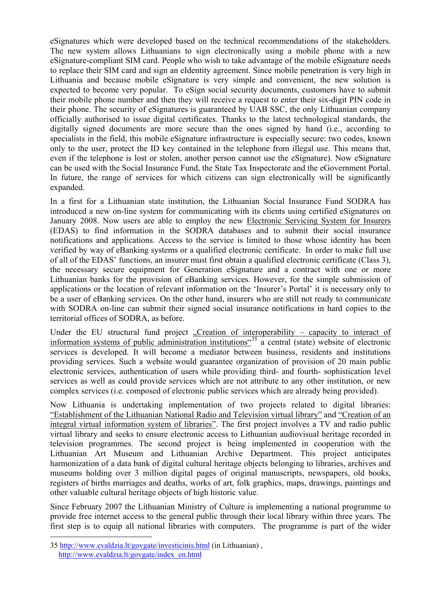eSignatures which were developed based on the technical recommendations of the stakeholders. The new system allows Lithuanians to sign electronically using a mobile phone with a new eSignature-compliant SIM card. People who wish to take advantage of the mobile eSignature needs to replace their SIM card and sign an eIdentity agreement. Since mobile penetration is very high in Lithuania and because mobile eSignature is very simple and convenient, the new solution is expected to become very popular. To eSign social security documents, customers have to submit their mobile phone number and then they will receive a request to enter their six-digit PIN code in their phone. The security of eSignatures is guaranteed by UAB SSC, the only Lithuanian company officially authorised to issue digital certificates. Thanks to the latest technological standards, the digitally signed documents are more secure than the ones signed by hand (i.e., according to specialists in the field, this mobile eSignature infrastructure is especially secure: two codes, known only to the user, protect the ID key contained in the telephone from illegal use. This means that, even if the telephone is lost or stolen, another person cannot use the eSignature). Now eSignature can be used with the Social Insurance Fund, the State Tax Inspectorate and the eGovernment Portal. In future, the range of services for which citizens can sign electronically will be significantly expanded.

In a first for a Lithuanian state institution, the Lithuanian Social Insurance Fund SODRA has introduced a new on-line system for communicating with its clients using certified eSignatures on January 2008. Now users are able to employ the new Electronic Servicing System for Insurers (EDAS) to find information in the SODRA databases and to submit their social insurance notifications and applications. Access to the service is limited to those whose identity has been verified by way of eBanking systems or a qualified electronic certificate. In order to make full use of all of the EDAS' functions, an insurer must first obtain a qualified electronic certificate (Class 3), the necessary secure equipment for Generation eSignature and a contract with one or more Lithuanian banks for the provision of eBanking services. However, for the simple submission of applications or the location of relevant information on the 'Insurer's Portal' it is necessary only to be a user of eBanking services. On the other hand, insurers who are still not ready to communicate with SODRA on-line can submit their signed social insurance notifications in hard copies to the territorial offices of SODRA, as before.

Under the EU structural fund project  $\alpha$ , Creation of interoperability – capacity to interact of information systems of public administration institutions<sup> $\alpha$ [35](#page-9-0)</sup> a central (state) website of electronic services is developed. It will become a mediator between business, residents and institutions providing services. Such a website would guarantee organization of provision of 20 main public electronic services, authentication of users while providing third- and fourth- sophistication level services as well as could provide services which are not attribute to any other institution, or new complex services (i.e. composed of electronic public services which are already being provided).

Now Lithuania is undertaking implementation of two projects related to digital libraries: "Establishment of the Lithuanian National Radio and Television virtual library" and "Creation of an integral virtual information system of libraries". The first project involves a TV and radio public virtual library and seeks to ensure electronic access to Lithuanian audiovisual heritage recorded in television programmes. The second project is being implemented in cooperation with the Lithuanian Art Museum and Lithuanian Archive Department. This project anticipates harmonization of a data bank of digital cultural heritage objects belonging to libraries, archives and museums holding over 3 million digital pages of original manuscripts, newspapers, old books, registers of births marriages and deaths, works of art, folk graphics, maps, drawings, paintings and other valuable cultural heritage objects of high historic value.

Since February 2007 the Lithuanian Ministry of Culture is implementing a national programme to provide free internet access to the general public through their local library within three years. The first step is to equip all national libraries with computers. The programme is part of the wider

<span id="page-9-0"></span><sup>35</sup> <http://www.evaldzia.lt/govgate/investicinis.html>(in Lithuanian) , [http://www.evaldzia.lt/govgate/index\\_en.html](http://www.evaldzia.lt/govgate/index_en.html)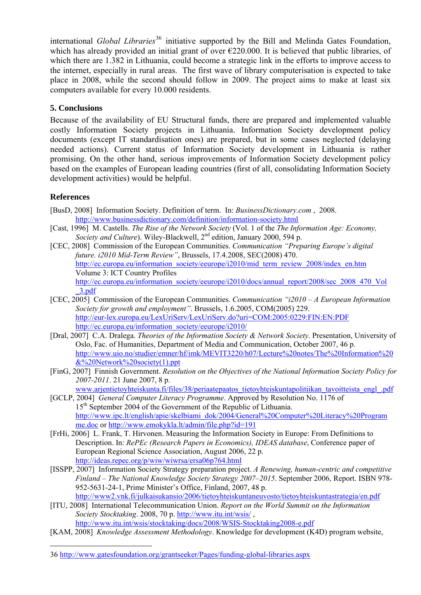international *Global Libraries*<sup>[36](#page-10-0)</sup> initiative supported by the Bill and Melinda Gates Foundation, which has already provided an initial grant of over  $\epsilon$ 220.000. It is believed that public libraries, of which there are 1.382 in Lithuania, could become a strategic link in the efforts to improve access to the internet, especially in rural areas. The first wave of library computerisation is expected to take place in 2008, while the second should follow in 2009. The project aims to make at least six computers available for every 10.000 residents.

### **5. Conclusions**

Because of the availability of EU Structural funds, there are prepared and implemented valuable costly Information Society projects in Lithuania. Information Society development policy documents (except IT standardisation ones) are prepared, but in some cases neglected (delaying needed actions). Current status of Information Society development in Lithuania is rather promising. On the other hand, serious improvements of Information Society development policy based on the examples of European leading countries (first of all, consolidating Information Society development activities) would be helpful.

### **References**

1

- [BusD, 2008] Information Society. Definition of term. In: *BusinessDictionary.com* , 2008. <http://www.businessdictionary.com/definition/information-society.html>
- [Cast, 1996] M. Castells. *The Rise of the Network Society* (Vol. 1 of the *The Information Age: Economy, Society and Culture*). Wiley-Blackwell, 2<sup>nd</sup> edition, January 2000, 594 p.
- [CEC, 2008] Commission of the European Communities. *Communication "Preparing Europe's digital future. i2010 Mid-Term Review"*, Brussels, 17.4.2008, SEC(2008) 470. [http://ec.europa.eu/information\\_society/eeurope/i2010/mid\\_term\\_review\\_2008/index\\_en.htm](http://ec.europa.eu/information_society/eeurope/i2010/mid_term_review_2008/index_en.htm) Volume 3: ICT Country Profiles [http://ec.europa.eu/information\\_society/eeurope/i2010/docs/annual\\_report/2008/sec\\_2008\\_470\\_Vol](http://ec.europa.eu/information_society/eeurope/i2010/docs/annual_report/2008/sec_2008_470_Vol_3.pdf) [\\_3.pdf](http://ec.europa.eu/information_society/eeurope/i2010/docs/annual_report/2008/sec_2008_470_Vol_3.pdf)
- [CEC, 2005] Commission of the European Communities. *Communication "i2010 A European Information Society for growth and employment"*. Brussels, 1.6.2005, COM(2005) 229. <http://eur-lex.europa.eu/LexUriServ/LexUriServ.do?uri=COM:2005:0229:FIN:EN:PDF> [http://ec.europa.eu/information\\_society/eeurope/i2010/](http://ec.europa.eu/information_society/eeurope/i2010/)
- [Dral, 2007] C.A. Dralega. *Theories of the Information Society & Network Society*. Presentation, University of Oslo, Fac. of Humanities, Department of Media and Communication, October 2007, 46 p. [http://www.uio.no/studier/emner/hf/imk/MEVIT3220/h07/Lecture%20notes/The%20Information%20](http://www.uio.no/studier/emner/hf/imk/MEVIT3220/h07/Lecture%20notes/The%20Information%20&%20Network%20society(1).ppt) [&%20Network%20society\(1\).ppt](http://www.uio.no/studier/emner/hf/imk/MEVIT3220/h07/Lecture%20notes/The%20Information%20&%20Network%20society(1).ppt)
- [FinG, 2007] Finnish Government. *Resolution on the Objectives of the National Information Society Policy for 2007-2011*. 21 June 2007, 8 p.

[www.arjentietoyhteiskunta.fi/files/38/periaatepaatos\\_tietoyhteiskuntapolitiikan\\_tavoitteista\\_engl\\_.pdf](http://www.arjentietoyhteiskunta.fi/files/38/periaatepaatos_tietoyhteiskuntapolitiikan_tavoitteista_engl_.pdf)

- [GCLP, 2004] *General Computer Literacy Programme*. Approved by Resolution No. 1176 of 15<sup>th</sup> September 2004 of the Government of the Republic of Lithuania. [http://www.ipc.lt/english/apie/skelbiami\\_dok/2004/General%20Computer%20Literacy%20Program](http://www.ipc.lt/english/apie/skelbiami_dok/2004/General%20Computer%20Literacy%20Programme.doc) [me.doc](http://www.ipc.lt/english/apie/skelbiami_dok/2004/General%20Computer%20Literacy%20Programme.doc) or <http://www.emokykla.lt/admin/file.php?id=191>
- [FrHi, 2006] L. Frank, T. Hirvonen. Measuring the Information Society in Europe: From Definitions to Description. In: *RePEc (Research Papers in Economics), IDEAS database*, Conference paper of European Regional Science Association, August 2006, 22 p. <http://ideas.repec.org/p/wiw/wiwrsa/ersa06p764.html>
- [ISSPP, 2007] Information Society Strategy preparation project. *A Renewing, human-centric and competitive Finland – The National Knowledge Society Strategy 2007–2015*. September 2006, Report. ISBN 978- 952-5631-24-1, Prime Minister's Office, Finland, 2007, 48 p. <http://www2.vnk.fi/julkaisukansio/2006/tietoyhteiskuntaneuvosto/tietoyhteiskuntastrategia/en.pdf>
- [ITU, 2008] International Telecommunication Union. *Report on the World Summit on the Information Society Stocktaking*. 2008, 70 p.<http://www.itu.int/wsis/>, <http://www.itu.int/wsis/stocktaking/docs/2008/WSIS-Stocktaking2008-e.pdf>
- [KAM, 2008] *Knowledge Assessment Methodology*. Knowledge for development (K4D) program website,

<span id="page-10-0"></span><sup>36</sup> <http://www.gatesfoundation.org/grantseeker/Pages/funding-global-libraries.aspx>